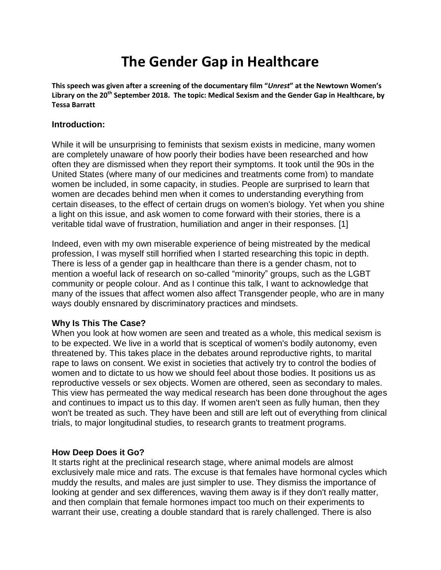# **The Gender Gap in Healthcare**

**This speech was given after a screening of the documentary film "***Unrest***" at the Newtown Women's Library on the 20th September 2018. The topic: Medical Sexism and the Gender Gap in Healthcare, by Tessa Barratt**

#### **Introduction:**

While it will be unsurprising to feminists that sexism exists in medicine, many women are completely unaware of how poorly their bodies have been researched and how often they are dismissed when they report their symptoms. It took until the 90s in the United States (where many of our medicines and treatments come from) to mandate women be included, in some capacity, in studies. People are surprised to learn that women are decades behind men when it comes to understanding everything from certain diseases, to the effect of certain drugs on women's biology. Yet when you shine a light on this issue, and ask women to come forward with their stories, there is a veritable tidal wave of frustration, humiliation and anger in their responses. [1]

Indeed, even with my own miserable experience of being mistreated by the medical profession, I was myself still horrified when I started researching this topic in depth. There is less of a gender gap in healthcare than there is a gender chasm, not to mention a woeful lack of research on so-called "minority" groups, such as the LGBT community or people colour. And as I continue this talk, I want to acknowledge that many of the issues that affect women also affect Transgender people, who are in many ways doubly ensnared by discriminatory practices and mindsets.

# **Why Is This The Case?**

When you look at how women are seen and treated as a whole, this medical sexism is to be expected. We live in a world that is sceptical of women's bodily autonomy, even threatened by. This takes place in the debates around reproductive rights, to marital rape to laws on consent. We exist in societies that actively try to control the bodies of women and to dictate to us how we should feel about those bodies. It positions us as reproductive vessels or sex objects. Women are othered, seen as secondary to males. This view has permeated the way medical research has been done throughout the ages and continues to impact us to this day. If women aren't seen as fully human, then they won't be treated as such. They have been and still are left out of everything from clinical trials, to major longitudinal studies, to research grants to treatment programs.

#### **How Deep Does it Go?**

It starts right at the preclinical research stage, where animal models are almost exclusively male mice and rats. The excuse is that females have hormonal cycles which muddy the results, and males are just simpler to use. They dismiss the importance of looking at gender and sex differences, waving them away is if they don't really matter, and then complain that female hormones impact too much on their experiments to warrant their use, creating a double standard that is rarely challenged. There is also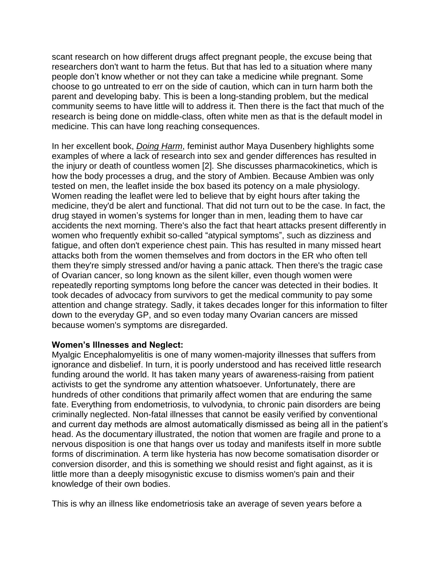scant research on how different drugs affect pregnant people, the excuse being that researchers don't want to harm the fetus. But that has led to a situation where many people don't know whether or not they can take a medicine while pregnant. Some choose to go untreated to err on the side of caution, which can in turn harm both the parent and developing baby. This is been a long-standing problem, but the medical community seems to have little will to address it. Then there is the fact that much of the research is being done on middle-class, often white men as that is the default model in medicine. This can have long reaching consequences.

In her excellent book, *Doing Harm*, feminist author Maya Dusenbery highlights some examples of where a lack of research into sex and gender differences has resulted in the injury or death of countless women [2]. She discusses pharmacokinetics, which is how the body processes a drug, and the story of Ambien. Because Ambien was only tested on men, the leaflet inside the box based its potency on a male physiology. Women reading the leaflet were led to believe that by eight hours after taking the medicine, they'd be alert and functional. That did not turn out to be the case. In fact, the drug stayed in women's systems for longer than in men, leading them to have car accidents the next morning. There's also the fact that heart attacks present differently in women who frequently exhibit so-called "atypical symptoms", such as dizziness and fatigue, and often don't experience chest pain. This has resulted in many missed heart attacks both from the women themselves and from doctors in the ER who often tell them they're simply stressed and/or having a panic attack. Then there's the tragic case of Ovarian cancer, so long known as the silent killer, even though women were repeatedly reporting symptoms long before the cancer was detected in their bodies. It took decades of advocacy from survivors to get the medical community to pay some attention and change strategy. Sadly, it takes decades longer for this information to filter down to the everyday GP, and so even today many Ovarian cancers are missed because women's symptoms are disregarded.

#### **Women's Illnesses and Neglect:**

Myalgic Encephalomyelitis is one of many women-majority illnesses that suffers from ignorance and disbelief. In turn, it is poorly understood and has received little research funding around the world. It has taken many years of awareness-raising from patient activists to get the syndrome any attention whatsoever. Unfortunately, there are hundreds of other conditions that primarily affect women that are enduring the same fate. Everything from endometriosis, to vulvodynia, to chronic pain disorders are being criminally neglected. Non-fatal illnesses that cannot be easily verified by conventional and current day methods are almost automatically dismissed as being all in the patient's head. As the documentary illustrated, the notion that women are fragile and prone to a nervous disposition is one that hangs over us today and manifests itself in more subtle forms of discrimination. A term like hysteria has now become somatisation disorder or conversion disorder, and this is something we should resist and fight against, as it is little more than a deeply misogynistic excuse to dismiss women's pain and their knowledge of their own bodies.

This is why an illness like endometriosis take an average of seven years before a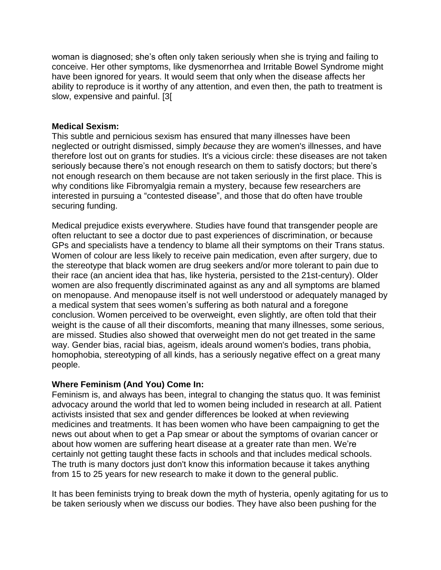woman is diagnosed; she's often only taken seriously when she is trying and failing to conceive. Her other symptoms, like dysmenorrhea and Irritable Bowel Syndrome might have been ignored for years. It would seem that only when the disease affects her ability to reproduce is it worthy of any attention, and even then, the path to treatment is slow, expensive and painful. [3[

### **Medical Sexism:**

This subtle and pernicious sexism has ensured that many illnesses have been neglected or outright dismissed, simply *because* they are women's illnesses, and have therefore lost out on grants for studies. It's a vicious circle: these diseases are not taken seriously because there's not enough research on them to satisfy doctors; but there's not enough research on them because are not taken seriously in the first place. This is why conditions like Fibromyalgia remain a mystery, because few researchers are interested in pursuing a "contested disease", and those that do often have trouble securing funding.

Medical prejudice exists everywhere. Studies have found that transgender people are often reluctant to see a doctor due to past experiences of discrimination, or because GPs and specialists have a tendency to blame all their symptoms on their Trans status. Women of colour are less likely to receive pain medication, even after surgery, due to the stereotype that black women are drug seekers and/or more tolerant to pain due to their race (an ancient idea that has, like hysteria, persisted to the 21st-century). Older women are also frequently discriminated against as any and all symptoms are blamed on menopause. And menopause itself is not well understood or adequately managed by a medical system that sees women's suffering as both natural and a foregone conclusion. Women perceived to be overweight, even slightly, are often told that their weight is the cause of all their discomforts, meaning that many illnesses, some serious, are missed. Studies also showed that overweight men do not get treated in the same way. Gender bias, racial bias, ageism, ideals around women's bodies, trans phobia, homophobia, stereotyping of all kinds, has a seriously negative effect on a great many people.

# **Where Feminism (And You) Come In:**

Feminism is, and always has been, integral to changing the status quo. It was feminist advocacy around the world that led to women being included in research at all. Patient activists insisted that sex and gender differences be looked at when reviewing medicines and treatments. It has been women who have been campaigning to get the news out about when to get a Pap smear or about the symptoms of ovarian cancer or about how women are suffering heart disease at a greater rate than men. We're certainly not getting taught these facts in schools and that includes medical schools. The truth is many doctors just don't know this information because it takes anything from 15 to 25 years for new research to make it down to the general public.

It has been feminists trying to break down the myth of hysteria, openly agitating for us to be taken seriously when we discuss our bodies. They have also been pushing for the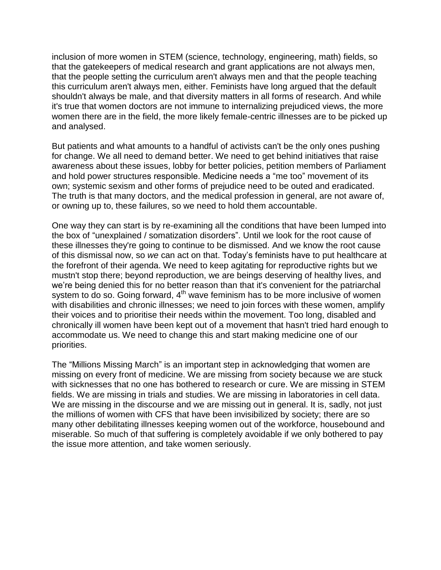inclusion of more women in STEM (science, technology, engineering, math) fields, so that the gatekeepers of medical research and grant applications are not always men, that the people setting the curriculum aren't always men and that the people teaching this curriculum aren't always men, either. Feminists have long argued that the default shouldn't always be male, and that diversity matters in all forms of research. And while it's true that women doctors are not immune to internalizing prejudiced views, the more women there are in the field, the more likely female-centric illnesses are to be picked up and analysed.

But patients and what amounts to a handful of activists can't be the only ones pushing for change. We all need to demand better. We need to get behind initiatives that raise awareness about these issues, lobby for better policies, petition members of Parliament and hold power structures responsible. Medicine needs a "me too" movement of its own; systemic sexism and other forms of prejudice need to be outed and eradicated. The truth is that many doctors, and the medical profession in general, are not aware of, or owning up to, these failures, so we need to hold them accountable.

One way they can start is by re-examining all the conditions that have been lumped into the box of "unexplained / somatization disorders". Until we look for the root cause of these illnesses they're going to continue to be dismissed. And we know the root cause of this dismissal now, so *we* can act on that. Today's feminists have to put healthcare at the forefront of their agenda. We need to keep agitating for reproductive rights but we mustn't stop there; beyond reproduction, we are beings deserving of healthy lives, and we're being denied this for no better reason than that it's convenient for the patriarchal system to do so. Going forward, 4<sup>th</sup> wave feminism has to be more inclusive of women with disabilities and chronic illnesses; we need to join forces with these women, amplify their voices and to prioritise their needs within the movement. Too long, disabled and chronically ill women have been kept out of a movement that hasn't tried hard enough to accommodate us. We need to change this and start making medicine one of our priorities.

The "Millions Missing March" is an important step in acknowledging that women are missing on every front of medicine. We are missing from society because we are stuck with sicknesses that no one has bothered to research or cure. We are missing in STEM fields. We are missing in trials and studies. We are missing in laboratories in cell data. We are missing in the discourse and we are missing out in general. It is, sadly, not just the millions of women with CFS that have been invisibilized by society; there are so many other debilitating illnesses keeping women out of the workforce, housebound and miserable. So much of that suffering is completely avoidable if we only bothered to pay the issue more attention, and take women seriously.